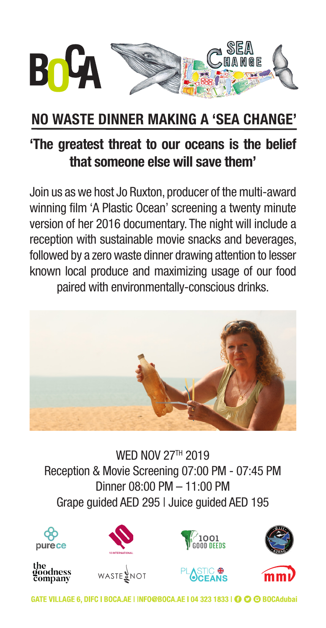

### **NO WASTE DINNER MAKING A 'SEA CHANGE'**

### **'The greatest threat to our oceans is the belief that someone else will save them'**

Join us as we host Jo Ruxton, producer of the multi-award winning film 'A Plastic Ocean' screening a twenty minute version of her 2016 documentary. The night will include a reception with sustainable movie snacks and beverages, followed by a zero waste dinner drawing attention to lesser known local produce and maximizing usage of our food paired with environmentally-conscious drinks.



**WED NOV 27TH 2019** Reception & Movie Screening 07:00 PM - 07:45 PM Dinner 08:00 PM – 11:00 PM Grape guided AED 295 | Juice guided AED 195



the<br>goodness<br>company













GATE VILLAGE 6, DIFC | BOCA.AE | INFO@BOCA.AE | 04 323 1833 | © © BOCAdubai